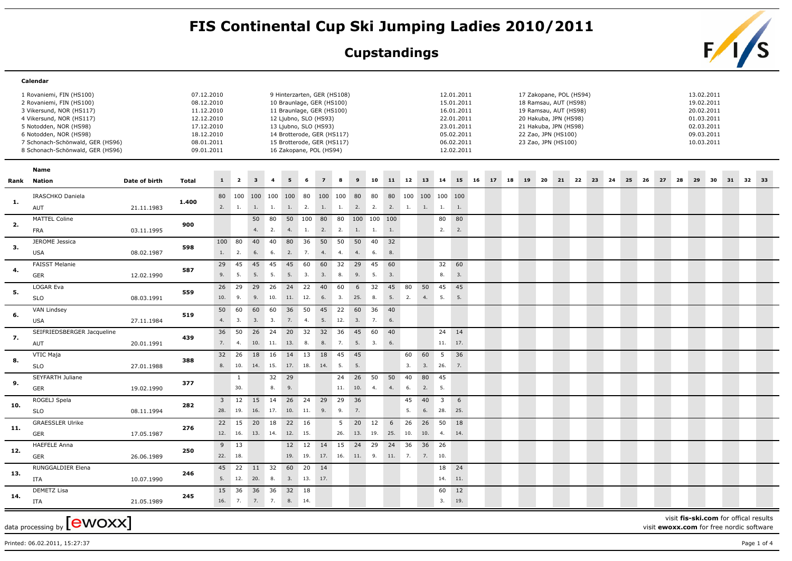## FIS Continental Cup Ski Jumping Ladies 2010/2011<br>Cupstandings<br>**FIS**

## **Cupstandings**



|                | Calendar                                                                                                                                                                                                                                                                         |            |                                                                                                              |                       |                         |                         |                         |              |                 |                                                                                                                                                                                                                                |               |           |                   |                        |           |                   |                                |                                                                                                              |    |    |    |    |     |                                                                                                                                                                           |    |      |    |    |    |    |    |                                                                                                |    |          |  |
|----------------|----------------------------------------------------------------------------------------------------------------------------------------------------------------------------------------------------------------------------------------------------------------------------------|------------|--------------------------------------------------------------------------------------------------------------|-----------------------|-------------------------|-------------------------|-------------------------|--------------|-----------------|--------------------------------------------------------------------------------------------------------------------------------------------------------------------------------------------------------------------------------|---------------|-----------|-------------------|------------------------|-----------|-------------------|--------------------------------|--------------------------------------------------------------------------------------------------------------|----|----|----|----|-----|---------------------------------------------------------------------------------------------------------------------------------------------------------------------------|----|------|----|----|----|----|----|------------------------------------------------------------------------------------------------|----|----------|--|
|                | 1 Rovaniemi, FIN (HS100)<br>2 Rovaniemi, FIN (HS100)<br>3 Vikersund, NOR (HS117)<br>4 Vikersund, NOR (HS117)<br>5 Notodden, NOR (HS98)<br>6 Notodden, NOR (HS98)<br>7 Schonach-Schönwald, GER (HS96)<br>8 Schonach-Schönwald, GER (HS96)<br>Name<br>Date of birth<br>Rank Nation |            | 07.12.2010<br>08.12.2010<br>11.12.2010<br>12.12.2010<br>17.12.2010<br>18.12.2010<br>08.01.2011<br>09.01.2011 |                       |                         |                         |                         |              |                 | 9 Hinterzarten, GER (HS108)<br>10 Braunlage, GER (HS100)<br>11 Braunlage, GER (HS100)<br>12 Ljubno, SLO (HS93)<br>13 Ljubno, SLO (HS93)<br>14 Brotterode, GER (HS117)<br>15 Brotterode, GER (HS117)<br>16 Zakopane, POL (HS94) |               |           |                   |                        |           |                   |                                | 12.01.2011<br>15.01.2011<br>16.01.2011<br>22.01.2011<br>23.01.2011<br>05.02.2011<br>06.02.2011<br>12.02.2011 |    |    |    |    |     | 17 Zakopane, POL (HS94)<br>18 Ramsau, AUT (HS98)<br>19 Ramsau, AUT (HS98)<br>20 Hakuba, JPN (HS98)<br>21 Hakuba, JPN (HS98)<br>22 Zao, JPN (HS100)<br>23 Zao, JPN (HS100) |    |      |    |    |    |    |    | 13.02.2011<br>19.02.2011<br>20.02.2011<br>01.03.2011<br>02.03.2011<br>09.03.2011<br>10.03.2011 |    |          |  |
|                |                                                                                                                                                                                                                                                                                  |            |                                                                                                              |                       |                         |                         |                         |              |                 |                                                                                                                                                                                                                                |               |           |                   |                        |           |                   |                                |                                                                                                              |    |    |    |    |     |                                                                                                                                                                           |    |      |    |    |    |    |    |                                                                                                |    |          |  |
|                |                                                                                                                                                                                                                                                                                  |            | <b>Total</b>                                                                                                 | $\mathbf{1}$          | $\overline{\mathbf{2}}$ | $\overline{\mathbf{3}}$ | $\overline{\mathbf{4}}$ |              |                 |                                                                                                                                                                                                                                |               |           | 10                | 11                     | 12        | 13                | 14                             | 15                                                                                                           | 16 | 17 | 18 | 19 | -20 | 21                                                                                                                                                                        | 22 | - 23 | 24 | 25 | 26 | 27 | 28 | 29                                                                                             | 30 | 31 32 33 |  |
| $\mathbf{1}$ . | IRASCHKO Daniela<br>AUT                                                                                                                                                                                                                                                          | 21.11.1983 | 1.400                                                                                                        | 80<br>2.              | 1.                      | 100 100 100             |                         | 100 80       |                 | 100 100 80<br>1. 1. 1. 2. 1. 1.                                                                                                                                                                                                |               |           | 80<br>2. 2.       | 80<br>2.               | 100<br>1. | 100 100 100<br>1. | 1.                             | 1.                                                                                                           |    |    |    |    |     |                                                                                                                                                                           |    |      |    |    |    |    |    |                                                                                                |    |          |  |
| 2.             | MATTEL Coline<br>FRA                                                                                                                                                                                                                                                             | 03.11.1995 | 900                                                                                                          |                       |                         | 4.                      | 50 80<br>2.             | 4.           | 50 100 80<br>1. | 2.                                                                                                                                                                                                                             | 80<br>2.      | 1.        | 100 100 100<br>1. | 1.                     |           |                   | 80<br>2.                       | 80<br>2.                                                                                                     |    |    |    |    |     |                                                                                                                                                                           |    |      |    |    |    |    |    |                                                                                                |    |          |  |
| 3.             | JEROME Jessica<br><b>USA</b>                                                                                                                                                                                                                                                     | 08.02.1987 | 598                                                                                                          | 100<br>1.             | 80<br>2.                | 40<br>6.                | 40<br>6.                | 80<br>2.     | 36<br>7.        | 50<br>4.                                                                                                                                                                                                                       | 50<br>4.      | 50<br>4.  | 40<br>6.          | 32<br>8.               |           |                   |                                |                                                                                                              |    |    |    |    |     |                                                                                                                                                                           |    |      |    |    |    |    |    |                                                                                                |    |          |  |
| 4.             | <b>FAISST Melanie</b><br><b>GER</b>                                                                                                                                                                                                                                              | 12.02.1990 | 587                                                                                                          | 29<br>9.              | 45<br>5.                | 45<br>5.                | 45<br>5.                | 45<br>5.     | 60<br>3.        | 60<br>3.                                                                                                                                                                                                                       | 32<br>8.      | 29<br>9.  | 45<br>5.          | 60<br>3.               |           |                   | 32<br>8.                       | 60<br>3.                                                                                                     |    |    |    |    |     |                                                                                                                                                                           |    |      |    |    |    |    |    |                                                                                                |    |          |  |
| 5.             | LOGAR Eva<br><b>SLO</b>                                                                                                                                                                                                                                                          | 08.03.1991 | 559                                                                                                          | 26<br>10.             | 29<br>9.                | 29<br>9.                | 26<br>10.               | 24<br>11.    | 22<br>12.       | 40<br>6.                                                                                                                                                                                                                       | 60<br>3.      | 6<br>25.  | 32<br>8.          | 45<br>5.               | 80<br>2.  | 50<br>4.          | 45<br>5.                       | 45<br>5.                                                                                                     |    |    |    |    |     |                                                                                                                                                                           |    |      |    |    |    |    |    |                                                                                                |    |          |  |
| 6.             | VAN Lindsey<br><b>USA</b>                                                                                                                                                                                                                                                        | 27.11.1984 | 519                                                                                                          | 50<br>4.              | 60<br>3.                | 60<br>3.                | 60<br>3.                | 36<br>7.     | 50<br>4.        | 45<br>5.                                                                                                                                                                                                                       | 22<br>12.     | 60<br>3.  | 36<br>7.          | 40<br>6.               |           |                   |                                |                                                                                                              |    |    |    |    |     |                                                                                                                                                                           |    |      |    |    |    |    |    |                                                                                                |    |          |  |
| 7.             | SEIFRIEDSBERGER Jacqueline<br>AUT                                                                                                                                                                                                                                                | 20.01.1991 | 439                                                                                                          | 36<br>7.              | 50<br>4.                | 26 24<br>10.            | 11.                     | 20<br>13.    | 32<br>8.        | 32<br>8.                                                                                                                                                                                                                       | 36<br>7.      | 45<br>5.  | 60<br>3.          | 40<br>6.               |           |                   | 24 14<br>11.                   | 17.                                                                                                          |    |    |    |    |     |                                                                                                                                                                           |    |      |    |    |    |    |    |                                                                                                |    |          |  |
| 8.             | VTIC Maja<br><b>SLO</b>                                                                                                                                                                                                                                                          | 27.01.1988 | 388                                                                                                          | 32<br>8.              | 26<br>10.               | 18<br>14.               | 16<br>15.               | 14 13        |                 | 18<br>17. 18. 14.                                                                                                                                                                                                              | 45<br>5.      | 45<br>5.  |                   |                        | 60<br>3.  | 60<br>3.          | 5<br>26.                       | 36<br>7.                                                                                                     |    |    |    |    |     |                                                                                                                                                                           |    |      |    |    |    |    |    |                                                                                                |    |          |  |
| 9.             | SEYFARTH Juliane<br><b>GER</b>                                                                                                                                                                                                                                                   | 19.02.1990 | 377                                                                                                          |                       | $\mathbf{1}$<br>30.     |                         | 32<br>8.                | 29<br>9.     |                 |                                                                                                                                                                                                                                | 24<br>11. 10. | 26        | 50<br>4.          | 50<br>4.               | 40<br>6.  | 80<br>2.          | 45<br>5.                       |                                                                                                              |    |    |    |    |     |                                                                                                                                                                           |    |      |    |    |    |    |    |                                                                                                |    |          |  |
| 10.            | ROGELJ Spela<br><b>SLO</b>                                                                                                                                                                                                                                                       | 08.11.1994 | 282                                                                                                          | $\overline{3}$<br>28. | 19.                     | 12 15<br>16.            | 14<br>17.               | 26 24<br>10. | 11.             | 29<br>9.                                                                                                                                                                                                                       | 29<br>9.      | 36<br>7.  |                   |                        | 45<br>5.  | 40<br>6.          | $\overline{\mathbf{3}}$<br>28. | 6<br>25.                                                                                                     |    |    |    |    |     |                                                                                                                                                                           |    |      |    |    |    |    |    |                                                                                                |    |          |  |
| 11.            | <b>GRAESSLER Ulrike</b><br>GER                                                                                                                                                                                                                                                   | 17.05.1987 | 276                                                                                                          | 22<br>12.             | 15<br>16.               | 20 18<br>13. 14.        |                         | 22<br>12.    | 16<br>15.       |                                                                                                                                                                                                                                | 5<br>26.      | 20<br>13. | 12<br>19.         | $6\overline{6}$<br>25. | 26<br>10. | 26<br>10.         | 50<br>4.                       | 18<br>14.                                                                                                    |    |    |    |    |     |                                                                                                                                                                           |    |      |    |    |    |    |    |                                                                                                |    |          |  |
| 12.            | <b>HAEFELE Anna</b><br><b>GER</b>                                                                                                                                                                                                                                                | 26.06.1989 | 250                                                                                                          |                       | 9 13<br>22. 18.         |                         |                         | 12<br>19.    | 12<br>19.       | 14<br>17. 16. 11.                                                                                                                                                                                                              | 15            | 24        | 29<br>9.          | 24<br>11.              | 36<br>7.  | 36 26<br>7.       | 10.                            |                                                                                                              |    |    |    |    |     |                                                                                                                                                                           |    |      |    |    |    |    |    |                                                                                                |    |          |  |
| 13.            | RUNGGALDIER Elena<br>ITA                                                                                                                                                                                                                                                         | 10.07.1990 | 246                                                                                                          | 45<br>5.              | 22<br>12.               | 11<br>20.               | 32<br>8.                | 60<br>3.     | 20<br>13. 17.   | 14                                                                                                                                                                                                                             |               |           |                   |                        |           |                   | 18<br>14.                      | 24<br>11.                                                                                                    |    |    |    |    |     |                                                                                                                                                                           |    |      |    |    |    |    |    |                                                                                                |    |          |  |
| 14.            | <b>DEMETZ Lisa</b><br>ITA                                                                                                                                                                                                                                                        | 21.05.1989 | 245                                                                                                          | 15                    | 36<br>16.7.             | 36<br>7.                | 36<br>7.                | 32<br>8.     | 18<br>14.       |                                                                                                                                                                                                                                |               |           |                   |                        |           |                   | 60<br>3.                       | 12<br>19.                                                                                                    |    |    |    |    |     |                                                                                                                                                                           |    |      |    |    |    |    |    |                                                                                                |    |          |  |

data processing by  ${\rm [ewoxx]}$ Printed: 06.02.2011, 15:27:37 Page 1 of 4

 $\overline{\phantom{a}}$ 

 $\overline{\phantom{0}}$ 

 $\overline{\phantom{0}}$ 

 $\overline{\phantom{0}}$ 

 $\overline{\phantom{0}}$ 

 $\overline{\phantom{a}}$ 

 $\overline{\phantom{0}}$ 

 $\overline{\phantom{0}}$ 

 $\overline{\phantom{0}}$ 

 $\overline{\phantom{0}}$ 

 $\overline{\phantom{0}}$ 

 $\overline{\phantom{0}}$ 

 $\overline{\phantom{0}}$ 

 $\overline{\phantom{a}}$ 

visit **fis-ski.com** for offical results visit **ewoxx.com** for free nordic software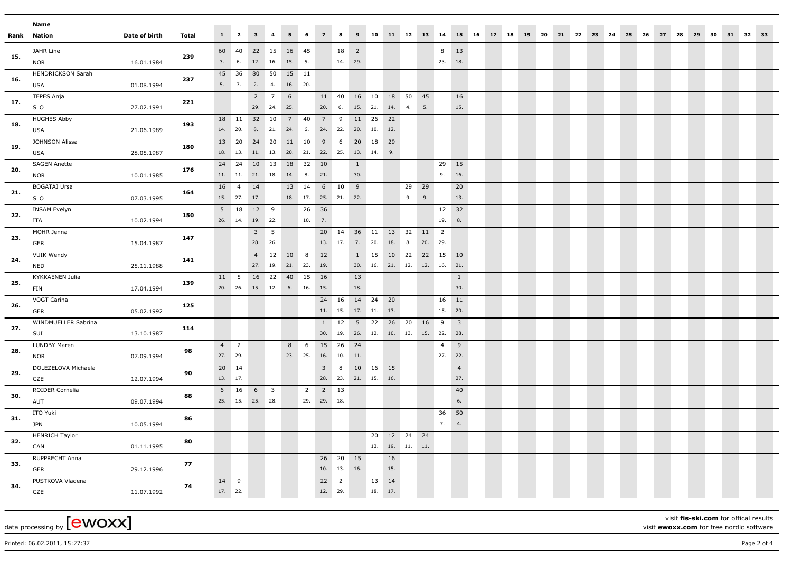|     | Name                     |               |              |         |                 |                                |                         |                 |                     |                |                |                     |                                 |             |    |       |                         |                         |       |       |  |  |  |                               |  |       |       |    |  |
|-----|--------------------------|---------------|--------------|---------|-----------------|--------------------------------|-------------------------|-----------------|---------------------|----------------|----------------|---------------------|---------------------------------|-------------|----|-------|-------------------------|-------------------------|-------|-------|--|--|--|-------------------------------|--|-------|-------|----|--|
|     | Rank Nation              | Date of birth | <b>Total</b> |         |                 | $1 \qquad 2 \qquad 3 \qquad 4$ |                         | $5 \t 6$        |                     | 7 8            |                |                     |                                 |             |    |       | 9 10 11 12 13 14        |                         | 15 16 | 17 18 |  |  |  | 19 20 21 22 23 24 25 26 27 28 |  | 29 30 | 31 32 | 33 |  |
|     | JAHR Line                |               |              | 60      | 40              | 22 15                          |                         | 16 45           |                     |                | 18 2           |                     |                                 |             |    |       | 8                       | 13                      |       |       |  |  |  |                               |  |       |       |    |  |
| 15. | <b>NOR</b>               | 16.01.1984    | 239          | 3.      | 6.              | 12. 16.                        |                         | 15. 5.          |                     |                | 14. 29.        |                     |                                 |             |    |       | 23.                     | 18.                     |       |       |  |  |  |                               |  |       |       |    |  |
|     | <b>HENDRICKSON Sarah</b> |               |              | 45      | 36              | 80 50                          |                         | 15 11           |                     |                |                |                     |                                 |             |    |       |                         |                         |       |       |  |  |  |                               |  |       |       |    |  |
| 16. | <b>USA</b>               | 01.08.1994    | 237          | 5.      | 7.              | 2. 4.                          |                         | 16. 20.         |                     |                |                |                     |                                 |             |    |       |                         |                         |       |       |  |  |  |                               |  |       |       |    |  |
|     | <b>TEPES Anja</b>        |               |              |         |                 |                                | $2 \overline{7}$        | $6\overline{6}$ |                     | 11 40          |                | 16 10               |                                 | 18          | 50 | 45    |                         | 16                      |       |       |  |  |  |                               |  |       |       |    |  |
| 17. | <b>SLO</b>               | 27.02.1991    | 221          |         |                 | 29. 24.                        |                         | 25.             |                     | 20.            | 6.             | 15. 21.             |                                 | 14.         | 4. | 5.    |                         | 15.                     |       |       |  |  |  |                               |  |       |       |    |  |
| 18. | <b>HUGHES Abby</b>       |               | 193          | 18      | 11              | 32 10                          |                         | $7\overline{ }$ | 40                  | $\overline{7}$ | 9              | 11                  | 26                              | 22          |    |       |                         |                         |       |       |  |  |  |                               |  |       |       |    |  |
|     | <b>USA</b>               | 21.06.1989    |              |         | 14. 20.         | 8.                             | 21.                     | 24.             | 6.                  | 24.            | 22.            | 20.                 | 10.                             | 12.         |    |       |                         |                         |       |       |  |  |  |                               |  |       |       |    |  |
| 19. | JOHNSON Alissa           |               | 180          |         | 13 20           | 24 20                          |                         | 11 10           |                     | 9              | 6              | 20                  | 18                              | 29          |    |       |                         |                         |       |       |  |  |  |                               |  |       |       |    |  |
|     | USA                      | 28.05.1987    |              |         | 18. 13.         | 11. 13.                        |                         |                 |                     |                |                | 20. 21. 22. 25. 13. | 14.                             | 9.          |    |       |                         |                         |       |       |  |  |  |                               |  |       |       |    |  |
| 20. | <b>SAGEN Anette</b>      |               | 176          | 24      | 24              | 10 13                          |                         | 18              | 32                  | 10             |                | $\mathbf{1}$        |                                 |             |    |       | 29                      | 15                      |       |       |  |  |  |                               |  |       |       |    |  |
|     | <b>NOR</b>               | 10.01.1985    |              |         | 11. 11.         | 21.                            | 18.                     | 14.             | 8.                  | 21.            |                | 30.                 |                                 |             |    |       | 9.                      | 16.                     |       |       |  |  |  |                               |  |       |       |    |  |
| 21. | <b>BOGATAJ Ursa</b>      |               | 164          |         | 16 4            | 14                             |                         | 13 14           |                     | 6 10           |                | 9                   |                                 |             | 29 | 29    |                         | 20                      |       |       |  |  |  |                               |  |       |       |    |  |
|     | <b>SLO</b>               | 07.03.1995    |              |         | 15. 27. 17.     |                                |                         |                 | 18. 17. 25. 21. 22. |                |                |                     |                                 |             | 9. | 9.    |                         | 13.                     |       |       |  |  |  |                               |  |       |       |    |  |
| 22. | INSAM Evelyn             |               | 150          |         | 5 18            | 12 9                           |                         |                 | 26                  | 36             |                |                     |                                 |             |    |       | 12                      | 32                      |       |       |  |  |  |                               |  |       |       |    |  |
|     | ITA                      | 10.02.1994    |              |         | 26. 14.         | 19. 22.                        |                         |                 | 10.                 | 7.             |                |                     |                                 |             |    |       | 19.                     | 8.                      |       |       |  |  |  |                               |  |       |       |    |  |
| 23. | MOHR Jenna               |               | 147          |         |                 | $3 \quad 5$                    |                         |                 |                     |                | 20 14          | 36 11               |                                 | 13 32       |    | 11    | $\overline{2}$          |                         |       |       |  |  |  |                               |  |       |       |    |  |
|     | GER                      | 15.04.1987    |              |         |                 | 28. 26.                        |                         |                 |                     |                |                | 13. 17. 7. 20.      |                                 | 18. 8.      |    | 20.   | 29.                     |                         |       |       |  |  |  |                               |  |       |       |    |  |
| 24. | <b>VUIK Wendy</b>        |               | 141          |         |                 |                                | $4 \quad 12$            | 10              | 8                   | 12             |                | 1                   | 15                              | 10 22       |    | 22 15 |                         | 10                      |       |       |  |  |  |                               |  |       |       |    |  |
|     | <b>NED</b>               | 25.11.1988    |              |         |                 | 27. 19.                        |                         | 21.             | 23.                 | 19.            |                | 30.                 |                                 |             |    |       | 16. 21. 12. 12. 16. 21. |                         |       |       |  |  |  |                               |  |       |       |    |  |
| 25. | KYKKAENEN Julia          |               | 139          | 11      | $5\overline{5}$ | 16 22                          |                         | 40 15           |                     | 16             |                | 13                  |                                 |             |    |       |                         | $\mathbf{1}$            |       |       |  |  |  |                               |  |       |       |    |  |
|     | FIN                      | 17.04.1994    |              |         | 20. 26.         | 15. 12.                        |                         | 6.              | 16.                 | 15.            |                | 18.                 |                                 |             |    |       |                         | 30.                     |       |       |  |  |  |                               |  |       |       |    |  |
| 26. | VOGT Carina              |               | 125          |         |                 |                                |                         |                 |                     | 24 16          |                | 14 24               |                                 | 20          |    |       | 16                      | 11                      |       |       |  |  |  |                               |  |       |       |    |  |
|     | GER                      | 05.02.1992    |              |         |                 |                                |                         |                 |                     | 11. 15.        |                | 17. 11.             |                                 | 13.         |    |       | 15.                     | 20.                     |       |       |  |  |  |                               |  |       |       |    |  |
| 27. | WINDMUELLER Sabrina      |               | 114          |         |                 |                                |                         |                 |                     |                | $1 \quad 12$   | 5 <sup>5</sup>      | 22                              | 26 20       |    | 16    | 9                       | $\overline{\mathbf{3}}$ |       |       |  |  |  |                               |  |       |       |    |  |
|     | SUI                      | 13.10.1987    |              |         |                 |                                |                         |                 |                     |                |                |                     | 30. 19. 26. 12. 10. 13. 15. 22. |             |    |       |                         | 28.                     |       |       |  |  |  |                               |  |       |       |    |  |
| 28. | LUNDBY Maren             |               | 98           | 4       | $\overline{2}$  |                                |                         | 8               | 6                   | 15             | 26             | 24                  |                                 |             |    |       | $\overline{4}$          | 9                       |       |       |  |  |  |                               |  |       |       |    |  |
|     | <b>NOR</b>               | 07.09.1994    |              | 27. 29. |                 |                                |                         | 23. 25.         |                     | 16. 10. 11.    |                |                     |                                 |             |    |       | 27.                     | 22.                     |       |       |  |  |  |                               |  |       |       |    |  |
| 29. | DOLEZELOVA Michaela      |               | 90           |         | 20 14           |                                |                         |                 |                     | 3 <sup>7</sup> | 8              | 10 16               |                                 | 15          |    |       |                         | $\overline{4}$          |       |       |  |  |  |                               |  |       |       |    |  |
|     | CZE                      | 12.07.1994    |              |         | 13. 17.         |                                |                         |                 |                     |                |                | 28. 23. 21. 15.     |                                 | 16.         |    |       |                         | 27.                     |       |       |  |  |  |                               |  |       |       |    |  |
| 30. | ROIDER Cornelia          |               | 88           |         | 6 16            | 6                              | $\overline{\mathbf{3}}$ |                 | $\overline{2}$      | 2 13           |                |                     |                                 |             |    |       |                         | 40                      |       |       |  |  |  |                               |  |       |       |    |  |
|     | AUT                      | 09.07.1994    |              |         | 25. 15.         | 25. 28.                        |                         |                 |                     | 29. 29. 18.    |                |                     |                                 |             |    |       |                         | 6.                      |       |       |  |  |  |                               |  |       |       |    |  |
| 31. | ITO Yuki                 |               | 86           |         |                 |                                |                         |                 |                     |                |                |                     |                                 |             |    |       | 36                      | 50                      |       |       |  |  |  |                               |  |       |       |    |  |
|     | <b>JPN</b>               | 10.05.1994    |              |         |                 |                                |                         |                 |                     |                |                |                     |                                 |             |    |       | 7.                      | 4.                      |       |       |  |  |  |                               |  |       |       |    |  |
| 32. | <b>HENRICH Taylor</b>    |               | 80           |         |                 |                                |                         |                 |                     |                |                |                     | 20                              | 12          | 24 | 24    |                         |                         |       |       |  |  |  |                               |  |       |       |    |  |
|     | CAN                      | 01.11.1995    |              |         |                 |                                |                         |                 |                     |                |                |                     | 13.                             | 19. 11. 11. |    |       |                         |                         |       |       |  |  |  |                               |  |       |       |    |  |
| 33. | RUPPRECHT Anna           |               | 77           |         |                 |                                |                         |                 |                     | 26 20          |                | 15                  |                                 | 16          |    |       |                         |                         |       |       |  |  |  |                               |  |       |       |    |  |
|     | GER                      | 29.12.1996    |              |         |                 |                                |                         |                 |                     | 10.            | 13.            | 16.                 |                                 | 15.         |    |       |                         |                         |       |       |  |  |  |                               |  |       |       |    |  |
| 34. | PUSTKOVA Vladena         |               | 74           | 14      | 9               |                                |                         |                 |                     | 22             | $\overline{2}$ |                     | 13                              | 14          |    |       |                         |                         |       |       |  |  |  |                               |  |       |       |    |  |
|     | CZE                      | 11.07.1992    |              |         | 17. 22.         |                                |                         |                 |                     | 12. 29.        |                |                     | 18. 17.                         |             |    |       |                         |                         |       |       |  |  |  |                               |  |       |       |    |  |

 $\frac{1}{\text{data processing by}}$  [CWOXX]

visit **fis-ski.com** for offical results visit **ewoxx.com** for free nordic software

Printed: 06.02.2011, 15:27:37 Page 2 of 4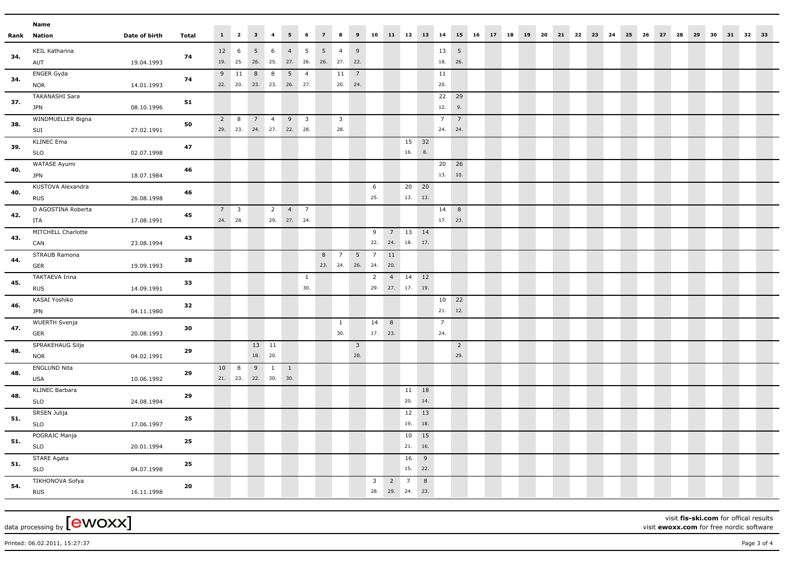|     | Name                              |               |              |   |             |                                     |                |                 |                          |                 |                         |                     |                         |                |                 |     |                |                       |                                                                           |  |  |  |  |  |  |  |  |  |
|-----|-----------------------------------|---------------|--------------|---|-------------|-------------------------------------|----------------|-----------------|--------------------------|-----------------|-------------------------|---------------------|-------------------------|----------------|-----------------|-----|----------------|-----------------------|---------------------------------------------------------------------------|--|--|--|--|--|--|--|--|--|
|     | Rank Nation                       | Date of birth | <b>Total</b> |   |             | $1 \qquad 2 \qquad 3 \qquad 4$      |                | 5 <sub>1</sub>  | 6                        | 7 8             |                         |                     |                         |                |                 |     |                |                       | 9 10 11 12 13 14 15 16 17 18 19 20 21 22 23 24 25 26 27 28 29 30 31 32 33 |  |  |  |  |  |  |  |  |  |
|     | KEIL Katharina                    |               |              |   | 12 6        | 5 <sup>5</sup>                      | 6              | $\overline{4}$  | $5\overline{5}$          | $5\overline{)}$ | $\overline{4}$          | 9                   |                         |                |                 |     | $13 \quad 5$   |                       |                                                                           |  |  |  |  |  |  |  |  |  |
| 34. | AUT                               | 19.04.1993    | 74           |   |             | 19. 25. 26. 25. 27. 26. 26. 27. 22. |                |                 |                          |                 |                         |                     |                         |                |                 |     | 18. 26.        |                       |                                                                           |  |  |  |  |  |  |  |  |  |
|     | <b>ENGER Gyda</b>                 |               |              |   | 9 11        | 8 8                                 |                | $5\overline{)}$ | $\overline{4}$           |                 | 11                      | $\overline{7}$      |                         |                |                 |     | 11             |                       |                                                                           |  |  |  |  |  |  |  |  |  |
| 34. | <b>NOR</b>                        | 14.01.1993    | 74           |   |             | 22. 20. 23. 23. 26. 27.             |                |                 |                          |                 | 20. 24.                 |                     |                         |                |                 |     | 20.            |                       |                                                                           |  |  |  |  |  |  |  |  |  |
| 37. | <b>TAKANASHI Sara</b>             |               | 51           |   |             |                                     |                |                 |                          |                 |                         |                     |                         |                |                 |     | 22             | 29                    |                                                                           |  |  |  |  |  |  |  |  |  |
|     | <b>JPN</b>                        | 08.10.1996    |              |   |             |                                     |                |                 |                          |                 |                         |                     |                         |                |                 |     | 12.            | 9.                    |                                                                           |  |  |  |  |  |  |  |  |  |
| 38. | WINDMUELLER Bigna                 |               | 50           | 2 | 8           | 7 4                                 |                | 9               | $\overline{\phantom{a}}$ |                 | $\overline{\mathbf{3}}$ |                     |                         |                |                 |     | $\overline{7}$ | $7\overline{ }$       |                                                                           |  |  |  |  |  |  |  |  |  |
|     | SUI                               | 27.02.1991    |              |   |             | 29. 23. 24. 27. 22. 28.             |                |                 |                          |                 | 28.                     |                     |                         |                |                 |     | 24. 24.        |                       |                                                                           |  |  |  |  |  |  |  |  |  |
| 39. | <b>KLINEC Ema</b>                 |               | 47           |   |             |                                     |                |                 |                          |                 |                         |                     |                         |                | 15 32           |     |                |                       |                                                                           |  |  |  |  |  |  |  |  |  |
|     | SLO                               | 02.07.1998    |              |   |             |                                     |                |                 |                          |                 |                         |                     |                         |                | 16.             | 8.  |                |                       |                                                                           |  |  |  |  |  |  |  |  |  |
| 40. | WATASE Ayumi                      |               | 46           |   |             |                                     |                |                 |                          |                 |                         |                     |                         |                |                 |     | 20 26          |                       |                                                                           |  |  |  |  |  |  |  |  |  |
|     | <b>JPN</b>                        | 18.07.1984    |              |   |             |                                     |                |                 |                          |                 |                         |                     |                         |                |                 |     | 13. 10.        |                       |                                                                           |  |  |  |  |  |  |  |  |  |
| 40. | KUSTOVA Alexandra                 |               | 46           |   |             |                                     |                |                 |                          |                 |                         |                     | 6                       |                | 20 20           |     |                |                       |                                                                           |  |  |  |  |  |  |  |  |  |
|     | <b>RUS</b>                        | 26.08.1998    |              |   |             |                                     |                |                 |                          |                 |                         |                     | 25.                     |                | 13. 13.         |     |                |                       |                                                                           |  |  |  |  |  |  |  |  |  |
| 42. | D AGOSTINA Roberta                |               | 45           |   | $7 \quad 3$ |                                     | $\overline{2}$ | $\overline{4}$  | $\overline{7}$           |                 |                         |                     |                         |                |                 |     | 14             | 8                     |                                                                           |  |  |  |  |  |  |  |  |  |
|     | ITA                               | 17.08.1991    |              |   | 24. 28.     |                                     |                | 29. 27. 24.     |                          |                 |                         |                     |                         |                |                 |     | 17. 23.        |                       |                                                                           |  |  |  |  |  |  |  |  |  |
| 43. | MITCHELL Charlotte                |               | 43           |   |             |                                     |                |                 |                          |                 |                         |                     | 9                       |                | 7 13 14         |     |                |                       |                                                                           |  |  |  |  |  |  |  |  |  |
|     | CAN                               | 23.08.1994    |              |   |             |                                     |                |                 |                          |                 |                         |                     |                         |                | 22. 24. 18. 17. |     |                |                       |                                                                           |  |  |  |  |  |  |  |  |  |
| 44. | STRAUB Ramona                     |               | 38           |   |             |                                     |                |                 |                          | 8               | $\overline{7}$          | 5 <sub>5</sub>      | $\overline{7}$          | 11             |                 |     |                |                       |                                                                           |  |  |  |  |  |  |  |  |  |
|     | GER                               | 19.09.1993    |              |   |             |                                     |                |                 |                          |                 |                         | 23. 24. 26. 24.     |                         | 20.            |                 |     |                |                       |                                                                           |  |  |  |  |  |  |  |  |  |
| 45. | TAKTAEVA Irina                    |               | 33           |   |             |                                     |                |                 | $\mathbf{1}$             |                 |                         |                     | $\overline{2}$          |                | 4 14 12         |     |                |                       |                                                                           |  |  |  |  |  |  |  |  |  |
|     | <b>RUS</b>                        | 14.09.1991    |              |   |             |                                     |                |                 | 30.                      |                 |                         |                     |                         |                | 29. 27. 17. 19. |     |                |                       |                                                                           |  |  |  |  |  |  |  |  |  |
| 46. | KASAI Yoshiko                     |               | 32           |   |             |                                     |                |                 |                          |                 |                         |                     |                         |                |                 |     | 10             | 22                    |                                                                           |  |  |  |  |  |  |  |  |  |
|     | <b>JPN</b>                        | 04.11.1980    |              |   |             |                                     |                |                 |                          |                 |                         |                     |                         |                |                 |     | 21.            | 12.                   |                                                                           |  |  |  |  |  |  |  |  |  |
| 47. | <b>WUERTH Svenja</b>              |               | 30           |   |             |                                     |                |                 |                          |                 | $\mathbf{1}$            |                     | 14                      | 8              |                 |     | $\overline{7}$ |                       |                                                                           |  |  |  |  |  |  |  |  |  |
|     | GER                               | 20.08.1993    |              |   |             |                                     |                |                 |                          |                 | 30.                     |                     | 17. 23.                 |                |                 |     | 24.            |                       |                                                                           |  |  |  |  |  |  |  |  |  |
| 48. | SPRAKEHAUG Silje                  |               | 29           |   |             | 13 11<br>18. 20.                    |                |                 |                          |                 |                         | $\mathbf{3}$<br>28. |                         |                |                 |     |                | $\overline{2}$<br>29. |                                                                           |  |  |  |  |  |  |  |  |  |
|     | <b>NOR</b><br><b>ENGLUND Nita</b> | 04.02.1991    |              |   | 10 8        |                                     |                |                 |                          |                 |                         |                     |                         |                |                 |     |                |                       |                                                                           |  |  |  |  |  |  |  |  |  |
| 48. | USA                               | 10.06.1992    | 29           |   |             | $9 \quad 1$<br>21. 23. 22. 30. 30.  |                | $\overline{1}$  |                          |                 |                         |                     |                         |                |                 |     |                |                       |                                                                           |  |  |  |  |  |  |  |  |  |
|     | <b>KLINEC Barbara</b>             |               |              |   |             |                                     |                |                 |                          |                 |                         |                     |                         |                | 11 18           |     |                |                       |                                                                           |  |  |  |  |  |  |  |  |  |
| 48. | SLO                               | 24.08.1994    | 29           |   |             |                                     |                |                 |                          |                 |                         |                     |                         |                | 20.             | 14. |                |                       |                                                                           |  |  |  |  |  |  |  |  |  |
|     | SRSEN Julija                      |               |              |   |             |                                     |                |                 |                          |                 |                         |                     |                         |                | 12 13           |     |                |                       |                                                                           |  |  |  |  |  |  |  |  |  |
| 51. | <b>SLO</b>                        | 17.06.1997    | 25           |   |             |                                     |                |                 |                          |                 |                         |                     |                         |                | 19. 18.         |     |                |                       |                                                                           |  |  |  |  |  |  |  |  |  |
|     | POGRAJC Manja                     |               |              |   |             |                                     |                |                 |                          |                 |                         |                     |                         |                | 10 15           |     |                |                       |                                                                           |  |  |  |  |  |  |  |  |  |
| 51. | <b>SLO</b>                        | 20.01.1994    | 25           |   |             |                                     |                |                 |                          |                 |                         |                     |                         |                | 21. 16.         |     |                |                       |                                                                           |  |  |  |  |  |  |  |  |  |
|     | STARE Agata                       |               |              |   |             |                                     |                |                 |                          |                 |                         |                     |                         |                | 16              | 9   |                |                       |                                                                           |  |  |  |  |  |  |  |  |  |
| 51. | <b>SLO</b>                        | 04.07.1998    | 25           |   |             |                                     |                |                 |                          |                 |                         |                     |                         |                | 15. 22.         |     |                |                       |                                                                           |  |  |  |  |  |  |  |  |  |
|     | TIKHONOVA Sofya                   |               |              |   |             |                                     |                |                 |                          |                 |                         |                     | $\overline{\mathbf{3}}$ | $\overline{2}$ | $\overline{7}$  | 8   |                |                       |                                                                           |  |  |  |  |  |  |  |  |  |
| 54. | <b>RUS</b>                        | 16.11.1998    | 20           |   |             |                                     |                |                 |                          |                 |                         |                     |                         |                | 28. 29. 24. 23. |     |                |                       |                                                                           |  |  |  |  |  |  |  |  |  |
|     |                                   |               |              |   |             |                                     |                |                 |                          |                 |                         |                     |                         |                |                 |     |                |                       |                                                                           |  |  |  |  |  |  |  |  |  |

 $\frac{1}{\text{data processing by}}$  [CWOXX]

visit **fis-ski.com** for offical results visit **ewoxx.com** for free nordic software

Printed: 06.02.2011, 15:27:37 Page 3 of 4